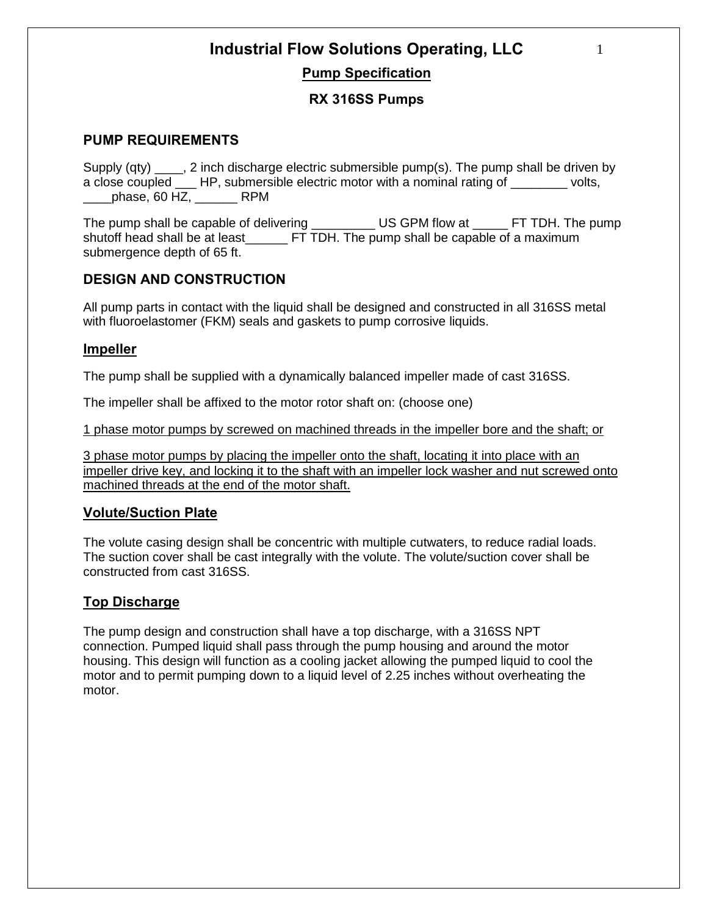# **Industrial Flow Solutions Operating, LLC**

### **Pump Specification**

### **RX 316SS Pumps**

### **PUMP REQUIREMENTS**

Supply (qty) \_\_\_\_, 2 inch discharge electric submersible pump(s). The pump shall be driven by a close coupled \_\_\_ HP, submersible electric motor with a nominal rating of \_\_\_\_\_\_\_\_ volts,  $phase, 60$  HZ,  $RPM$ 

The pump shall be capable of delivering The US GPM flow at FT TDH. The pump shutoff head shall be at least\_\_\_\_\_\_ FT TDH. The pump shall be capable of a maximum submergence depth of 65 ft.

### **DESIGN AND CONSTRUCTION**

All pump parts in contact with the liquid shall be designed and constructed in all 316SS metal with fluoroelastomer (FKM) seals and gaskets to pump corrosive liquids.

### **Impeller**

The pump shall be supplied with a dynamically balanced impeller made of cast 316SS.

The impeller shall be affixed to the motor rotor shaft on: (choose one)

1 phase motor pumps by screwed on machined threads in the impeller bore and the shaft; or

3 phase motor pumps by placing the impeller onto the shaft, locating it into place with an impeller drive key, and locking it to the shaft with an impeller lock washer and nut screwed onto machined threads at the end of the motor shaft.

### **Volute/Suction Plate**

The volute casing design shall be concentric with multiple cutwaters, to reduce radial loads. The suction cover shall be cast integrally with the volute. The volute/suction cover shall be constructed from cast 316SS.

### **Top Discharge**

The pump design and construction shall have a top discharge, with a 316SS NPT connection. Pumped liquid shall pass through the pump housing and around the motor housing. This design will function as a cooling jacket allowing the pumped liquid to cool the motor and to permit pumping down to a liquid level of 2.25 inches without overheating the motor.

1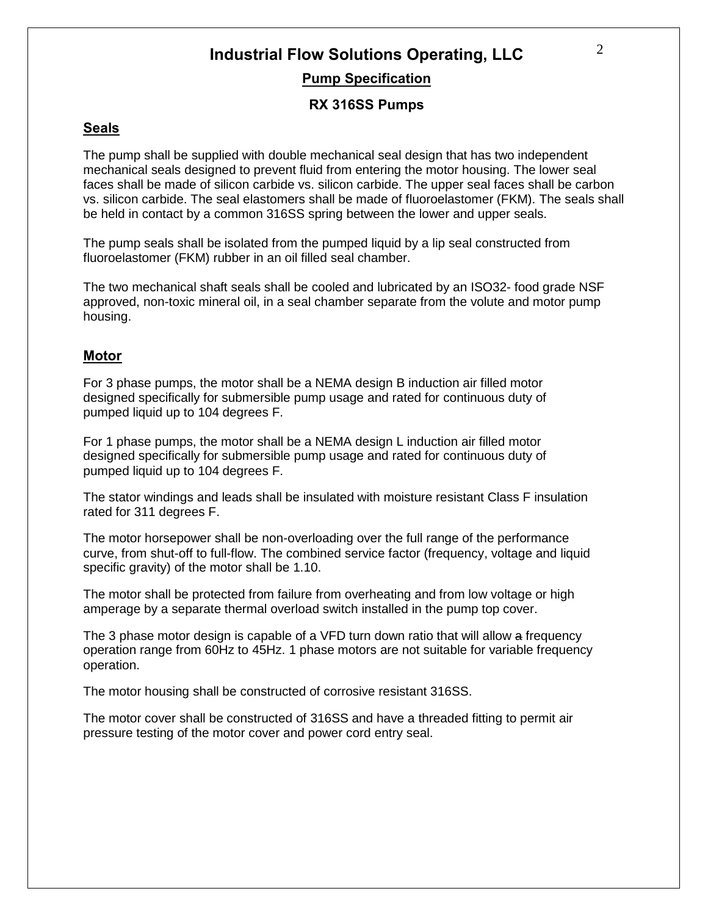# **Industrial Flow Solutions Operating, LLC Pump Specification**

### **RX 316SS Pumps**

### **Seals**

The pump shall be supplied with double mechanical seal design that has two independent mechanical seals designed to prevent fluid from entering the motor housing. The lower seal faces shall be made of silicon carbide vs. silicon carbide. The upper seal faces shall be carbon vs. silicon carbide. The seal elastomers shall be made of fluoroelastomer (FKM). The seals shall be held in contact by a common 316SS spring between the lower and upper seals.

The pump seals shall be isolated from the pumped liquid by a lip seal constructed from fluoroelastomer (FKM) rubber in an oil filled seal chamber.

The two mechanical shaft seals shall be cooled and lubricated by an ISO32- food grade NSF approved, non-toxic mineral oil, in a seal chamber separate from the volute and motor pump housing.

### **Motor**

For 3 phase pumps, the motor shall be a NEMA design B induction air filled motor designed specifically for submersible pump usage and rated for continuous duty of pumped liquid up to 104 degrees F.

For 1 phase pumps, the motor shall be a NEMA design L induction air filled motor designed specifically for submersible pump usage and rated for continuous duty of pumped liquid up to 104 degrees F.

The stator windings and leads shall be insulated with moisture resistant Class F insulation rated for 311 degrees F.

The motor horsepower shall be non-overloading over the full range of the performance curve, from shut-off to full-flow. The combined service factor (frequency, voltage and liquid specific gravity) of the motor shall be 1.10.

The motor shall be protected from failure from overheating and from low voltage or high amperage by a separate thermal overload switch installed in the pump top cover.

The 3 phase motor design is capable of a VFD turn down ratio that will allow a frequency operation range from 60Hz to 45Hz. 1 phase motors are not suitable for variable frequency operation.

The motor housing shall be constructed of corrosive resistant 316SS.

The motor cover shall be constructed of 316SS and have a threaded fitting to permit air pressure testing of the motor cover and power cord entry seal.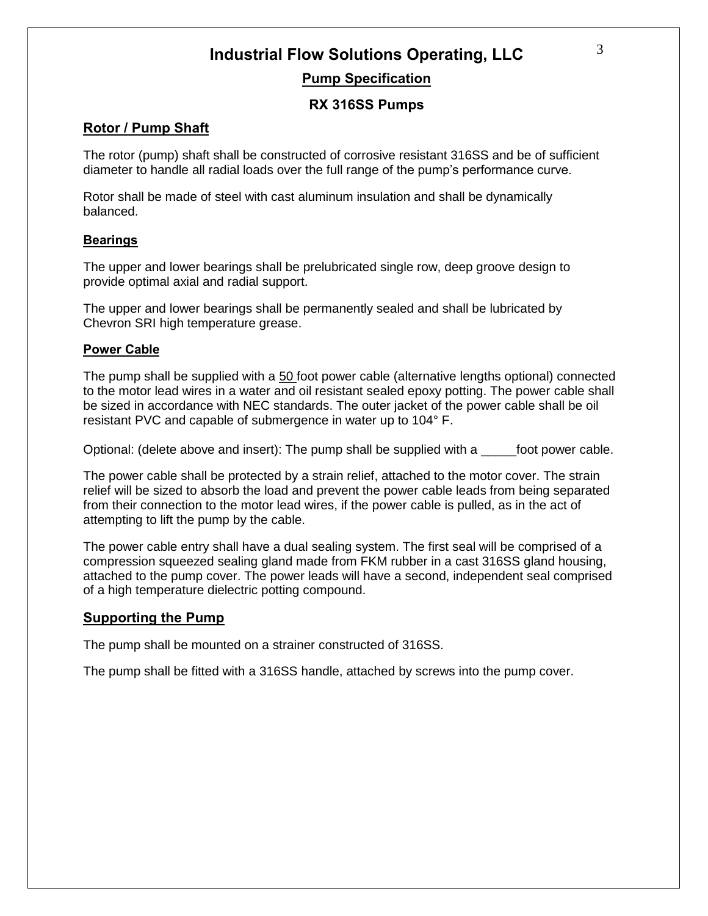### **Industrial Flow Solutions Operating, LLC Pump Specification**

### **RX 316SS Pumps**

### **Rotor / Pump Shaft**

The rotor (pump) shaft shall be constructed of corrosive resistant 316SS and be of sufficient diameter to handle all radial loads over the full range of the pump's performance curve.

Rotor shall be made of steel with cast aluminum insulation and shall be dynamically balanced.

### **Bearings**

The upper and lower bearings shall be prelubricated single row, deep groove design to provide optimal axial and radial support.

The upper and lower bearings shall be permanently sealed and shall be lubricated by Chevron SRI high temperature grease.

#### **Power Cable**

The pump shall be supplied with a 50 foot power cable (alternative lengths optional) connected to the motor lead wires in a water and oil resistant sealed epoxy potting. The power cable shall be sized in accordance with NEC standards. The outer jacket of the power cable shall be oil resistant PVC and capable of submergence in water up to 104° F.

Optional: (delete above and insert): The pump shall be supplied with a \_\_\_\_\_foot power cable.

The power cable shall be protected by a strain relief, attached to the motor cover. The strain relief will be sized to absorb the load and prevent the power cable leads from being separated from their connection to the motor lead wires, if the power cable is pulled, as in the act of attempting to lift the pump by the cable.

The power cable entry shall have a dual sealing system. The first seal will be comprised of a compression squeezed sealing gland made from FKM rubber in a cast 316SS gland housing, attached to the pump cover. The power leads will have a second, independent seal comprised of a high temperature dielectric potting compound.

### **Supporting the Pump**

The pump shall be mounted on a strainer constructed of 316SS.

The pump shall be fitted with a 316SS handle, attached by screws into the pump cover.